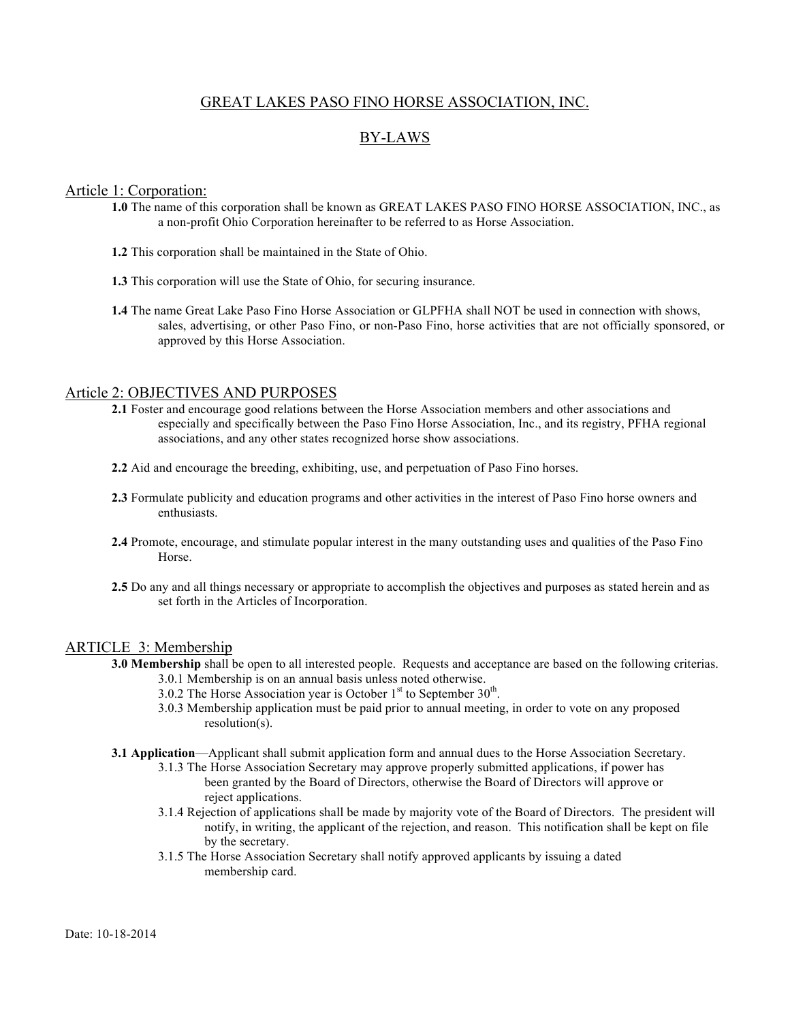## GREAT LAKES PASO FINO HORSE ASSOCIATION, INC.

# BY-LAWS

## Article 1: Corporation:

- **1.0** The name of this corporation shall be known as GREAT LAKES PASO FINO HORSE ASSOCIATION, INC., as a non-profit Ohio Corporation hereinafter to be referred to as Horse Association.
- **1.2** This corporation shall be maintained in the State of Ohio.
- **1.3** This corporation will use the State of Ohio, for securing insurance.
- **1.4** The name Great Lake Paso Fino Horse Association or GLPFHA shall NOT be used in connection with shows, sales, advertising, or other Paso Fino, or non-Paso Fino, horse activities that are not officially sponsored, or approved by this Horse Association.

## Article 2: OBJECTIVES AND PURPOSES

- **2.1** Foster and encourage good relations between the Horse Association members and other associations and especially and specifically between the Paso Fino Horse Association, Inc., and its registry, PFHA regional associations, and any other states recognized horse show associations.
- **2.2** Aid and encourage the breeding, exhibiting, use, and perpetuation of Paso Fino horses.
- **2.3** Formulate publicity and education programs and other activities in the interest of Paso Fino horse owners and enthusiasts.
- **2.4** Promote, encourage, and stimulate popular interest in the many outstanding uses and qualities of the Paso Fino Horse.
- **2.5** Do any and all things necessary or appropriate to accomplish the objectives and purposes as stated herein and as set forth in the Articles of Incorporation.

## ARTICLE 3: Membership

- **3.0 Membership** shall be open to all interested people. Requests and acceptance are based on the following criterias. 3.0.1 Membership is on an annual basis unless noted otherwise.
	- 3.0.2 The Horse Association year is October  $1<sup>st</sup>$  to September 30<sup>th</sup>.
	- 3.0.3 Membership application must be paid prior to annual meeting, in order to vote on any proposed resolution(s).
- **3.1 Application**—Applicant shall submit application form and annual dues to the Horse Association Secretary.
	- 3.1.3 The Horse Association Secretary may approve properly submitted applications, if power has been granted by the Board of Directors, otherwise the Board of Directors will approve or reject applications.
	- 3.1.4 Rejection of applications shall be made by majority vote of the Board of Directors. The president will notify, in writing, the applicant of the rejection, and reason. This notification shall be kept on file by the secretary.
	- 3.1.5 The Horse Association Secretary shall notify approved applicants by issuing a dated membership card.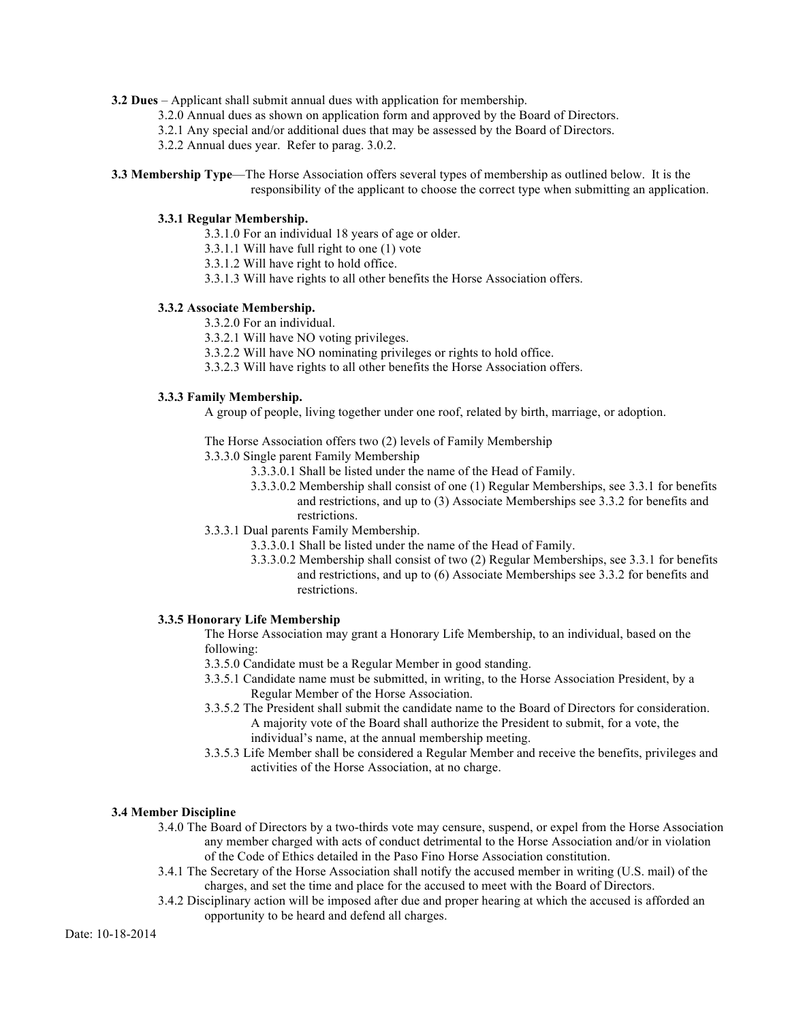- **3.2 Dues** Applicant shall submit annual dues with application for membership.
	- 3.2.0 Annual dues as shown on application form and approved by the Board of Directors.
	- 3.2.1 Any special and/or additional dues that may be assessed by the Board of Directors.
	- 3.2.2 Annual dues year. Refer to parag. 3.0.2.
- **3.3 Membership Type**—The Horse Association offers several types of membership as outlined below. It is the responsibility of the applicant to choose the correct type when submitting an application.

#### **3.3.1 Regular Membership.**

- 3.3.1.0 For an individual 18 years of age or older.
- 3.3.1.1 Will have full right to one (1) vote
- 3.3.1.2 Will have right to hold office.
- 3.3.1.3 Will have rights to all other benefits the Horse Association offers.

#### **3.3.2 Associate Membership.**

- 3.3.2.0 For an individual.
- 3.3.2.1 Will have NO voting privileges.
- 3.3.2.2 Will have NO nominating privileges or rights to hold office.
- 3.3.2.3 Will have rights to all other benefits the Horse Association offers.

#### **3.3.3 Family Membership.**

A group of people, living together under one roof, related by birth, marriage, or adoption.

The Horse Association offers two (2) levels of Family Membership

- 3.3.3.0 Single parent Family Membership
	- 3.3.3.0.1 Shall be listed under the name of the Head of Family.
	- 3.3.3.0.2 Membership shall consist of one (1) Regular Memberships, see 3.3.1 for benefits and restrictions, and up to (3) Associate Memberships see 3.3.2 for benefits and restrictions.
- 3.3.3.1 Dual parents Family Membership.
	- 3.3.3.0.1 Shall be listed under the name of the Head of Family.
	- 3.3.3.0.2 Membership shall consist of two (2) Regular Memberships, see 3.3.1 for benefits and restrictions, and up to (6) Associate Memberships see 3.3.2 for benefits and restrictions.

#### **3.3.5 Honorary Life Membership**

The Horse Association may grant a Honorary Life Membership, to an individual, based on the following:

- 3.3.5.0 Candidate must be a Regular Member in good standing.
- 3.3.5.1 Candidate name must be submitted, in writing, to the Horse Association President, by a Regular Member of the Horse Association.
- 3.3.5.2 The President shall submit the candidate name to the Board of Directors for consideration. A majority vote of the Board shall authorize the President to submit, for a vote, the individual's name, at the annual membership meeting.
- 3.3.5.3 Life Member shall be considered a Regular Member and receive the benefits, privileges and activities of the Horse Association, at no charge.

#### **3.4 Member Discipline**

- 3.4.0 The Board of Directors by a two-thirds vote may censure, suspend, or expel from the Horse Association any member charged with acts of conduct detrimental to the Horse Association and/or in violation of the Code of Ethics detailed in the Paso Fino Horse Association constitution.
- 3.4.1 The Secretary of the Horse Association shall notify the accused member in writing (U.S. mail) of the charges, and set the time and place for the accused to meet with the Board of Directors.
- 3.4.2 Disciplinary action will be imposed after due and proper hearing at which the accused is afforded an opportunity to be heard and defend all charges.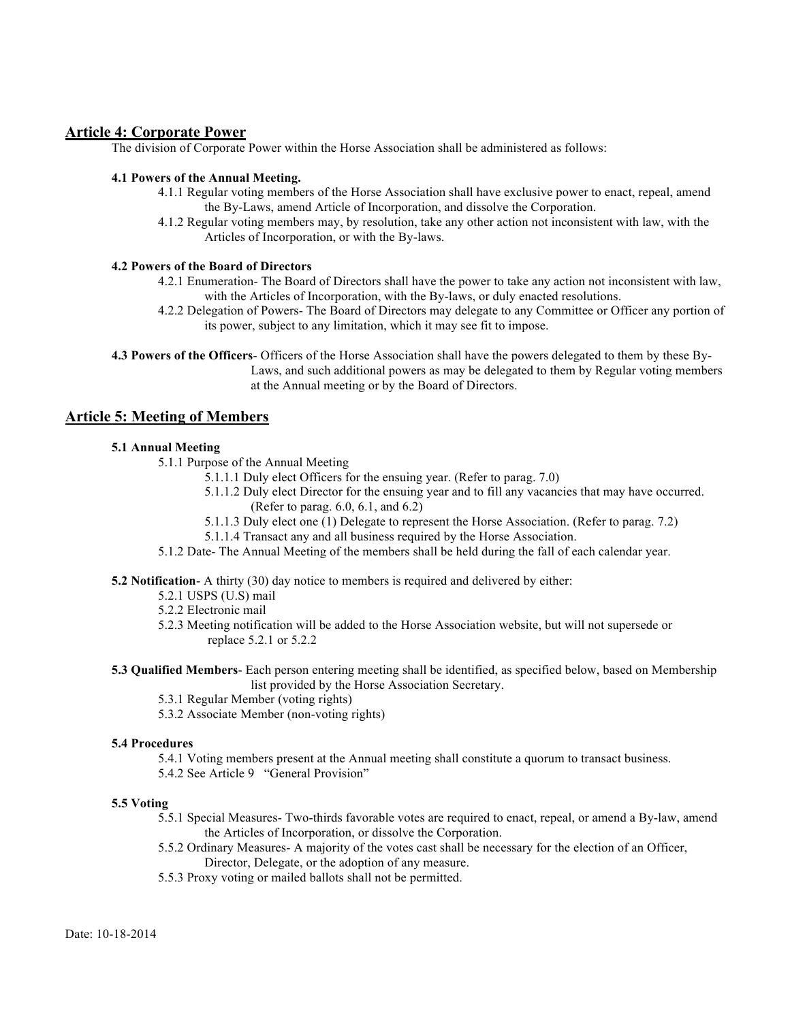## **Article 4: Corporate Power**

The division of Corporate Power within the Horse Association shall be administered as follows:

#### **4.1 Powers of the Annual Meeting.**

- 4.1.1 Regular voting members of the Horse Association shall have exclusive power to enact, repeal, amend the By-Laws, amend Article of Incorporation, and dissolve the Corporation.
- 4.1.2 Regular voting members may, by resolution, take any other action not inconsistent with law, with the Articles of Incorporation, or with the By-laws.

#### **4.2 Powers of the Board of Directors**

- 4.2.1 Enumeration- The Board of Directors shall have the power to take any action not inconsistent with law, with the Articles of Incorporation, with the By-laws, or duly enacted resolutions.
- 4.2.2 Delegation of Powers- The Board of Directors may delegate to any Committee or Officer any portion of its power, subject to any limitation, which it may see fit to impose.

**4.3 Powers of the Officers**- Officers of the Horse Association shall have the powers delegated to them by these By-Laws, and such additional powers as may be delegated to them by Regular voting members at the Annual meeting or by the Board of Directors.

## **Article 5: Meeting of Members**

## **5.1 Annual Meeting**

- 5.1.1 Purpose of the Annual Meeting
	- 5.1.1.1 Duly elect Officers for the ensuing year. (Refer to parag. 7.0)
	- 5.1.1.2 Duly elect Director for the ensuing year and to fill any vacancies that may have occurred. (Refer to parag. 6.0, 6.1, and 6.2)
	- 5.1.1.3 Duly elect one (1) Delegate to represent the Horse Association. (Refer to parag. 7.2)
	- 5.1.1.4 Transact any and all business required by the Horse Association.
- 5.1.2 Date- The Annual Meeting of the members shall be held during the fall of each calendar year.

**5.2 Notification**- A thirty (30) day notice to members is required and delivered by either:

- 5.2.1 USPS (U.S) mail
- 5.2.2 Electronic mail
- 5.2.3 Meeting notification will be added to the Horse Association website, but will not supersede or replace 5.2.1 or 5.2.2
- **5.3 Qualified Members** Each person entering meeting shall be identified, as specified below, based on Membership list provided by the Horse Association Secretary.
	- 5.3.1 Regular Member (voting rights)
	- 5.3.2 Associate Member (non-voting rights)

#### **5.4 Procedures**

5.4.1 Voting members present at the Annual meeting shall constitute a quorum to transact business.

5.4.2 See Article 9 "General Provision"

#### **5.5 Voting**

- 5.5.1 Special Measures- Two-thirds favorable votes are required to enact, repeal, or amend a By-law, amend the Articles of Incorporation, or dissolve the Corporation.
- 5.5.2 Ordinary Measures- A majority of the votes cast shall be necessary for the election of an Officer, Director, Delegate, or the adoption of any measure.
- 5.5.3 Proxy voting or mailed ballots shall not be permitted.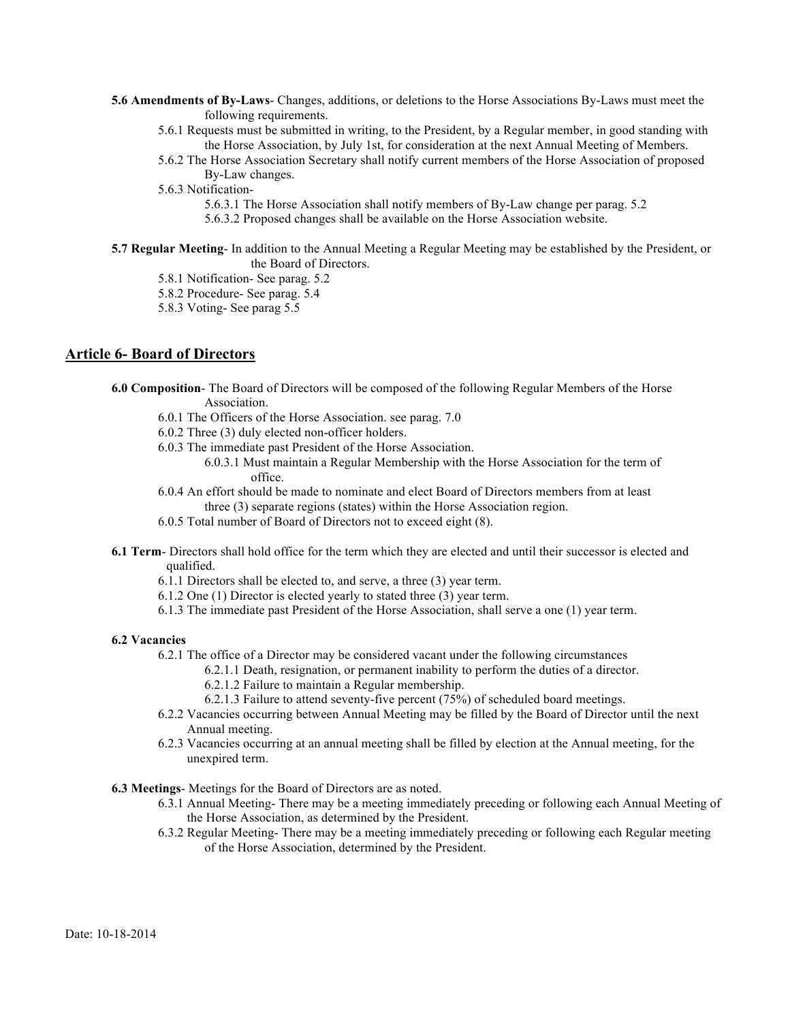- **5.6 Amendments of By-Laws** Changes, additions, or deletions to the Horse Associations By-Laws must meet the following requirements.
	- 5.6.1 Requests must be submitted in writing, to the President, by a Regular member, in good standing with the Horse Association, by July 1st, for consideration at the next Annual Meeting of Members.
	- 5.6.2 The Horse Association Secretary shall notify current members of the Horse Association of proposed By-Law changes.
	- 5.6.3 Notification-
		- 5.6.3.1 The Horse Association shall notify members of By-Law change per parag. 5.2
		- 5.6.3.2 Proposed changes shall be available on the Horse Association website.
- **5.7 Regular Meeting** In addition to the Annual Meeting a Regular Meeting may be established by the President, or the Board of Directors.
	- 5.8.1 Notification- See parag. 5.2
	- 5.8.2 Procedure- See parag. 5.4
	- 5.8.3 Voting- See parag 5.5

## **Article 6- Board of Directors**

- **6.0 Composition** The Board of Directors will be composed of the following Regular Members of the Horse Association.
	- 6.0.1 The Officers of the Horse Association. see parag. 7.0
	- 6.0.2 Three (3) duly elected non-officer holders.
	- 6.0.3 The immediate past President of the Horse Association.
		- 6.0.3.1 Must maintain a Regular Membership with the Horse Association for the term of office.
	- 6.0.4 An effort should be made to nominate and elect Board of Directors members from at least three (3) separate regions (states) within the Horse Association region.
	- 6.0.5 Total number of Board of Directors not to exceed eight (8).
- **6.1 Term** Directors shall hold office for the term which they are elected and until their successor is elected and qualified.
	- 6.1.1 Directors shall be elected to, and serve, a three (3) year term.
	- 6.1.2 One (1) Director is elected yearly to stated three (3) year term.
	- 6.1.3 The immediate past President of the Horse Association, shall serve a one (1) year term.

#### **6.2 Vacancies**

- 6.2.1 The office of a Director may be considered vacant under the following circumstances
	- 6.2.1.1 Death, resignation, or permanent inability to perform the duties of a director.
	- 6.2.1.2 Failure to maintain a Regular membership.
	- 6.2.1.3 Failure to attend seventy-five percent (75%) of scheduled board meetings.
- 6.2.2 Vacancies occurring between Annual Meeting may be filled by the Board of Director until the next Annual meeting.
- 6.2.3 Vacancies occurring at an annual meeting shall be filled by election at the Annual meeting, for the unexpired term.

**6.3 Meetings**- Meetings for the Board of Directors are as noted.

- 6.3.1 Annual Meeting- There may be a meeting immediately preceding or following each Annual Meeting of the Horse Association, as determined by the President.
- 6.3.2 Regular Meeting- There may be a meeting immediately preceding or following each Regular meeting of the Horse Association, determined by the President.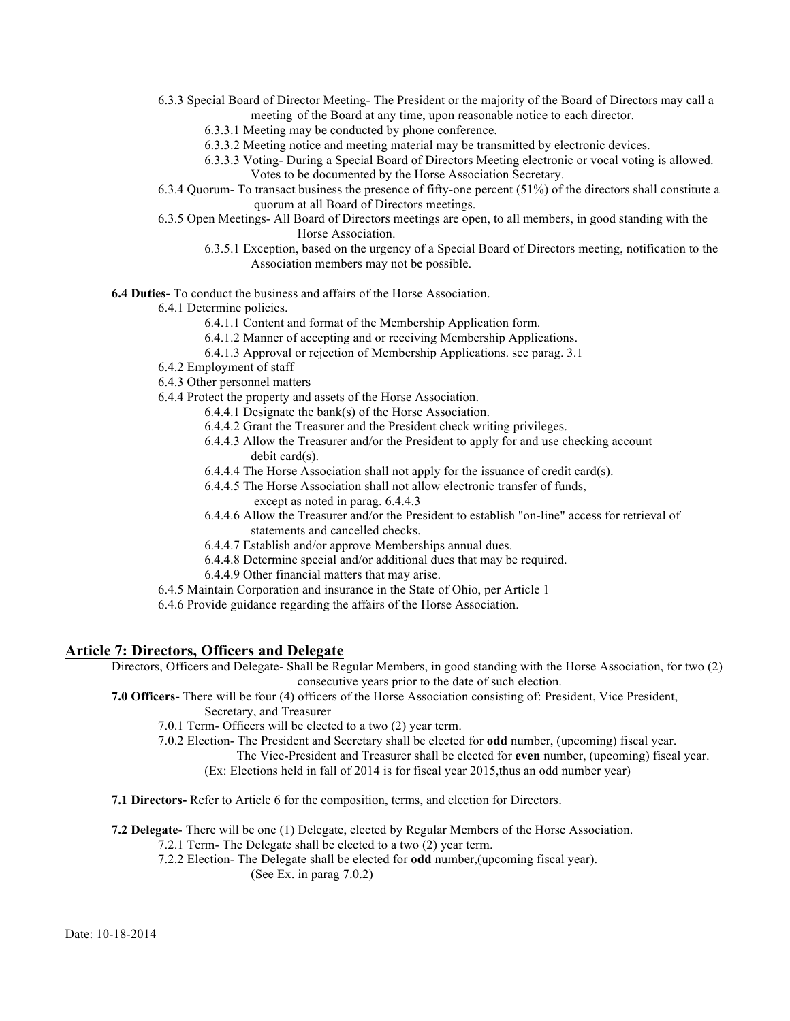- 6.3.3 Special Board of Director Meeting- The President or the majority of the Board of Directors may call a meeting of the Board at any time, upon reasonable notice to each director.
	- 6.3.3.1 Meeting may be conducted by phone conference.
	- 6.3.3.2 Meeting notice and meeting material may be transmitted by electronic devices.
	- 6.3.3.3 Voting- During a Special Board of Directors Meeting electronic or vocal voting is allowed. Votes to be documented by the Horse Association Secretary.
- 6.3.4 Quorum- To transact business the presence of fifty-one percent (51%) of the directors shall constitute a quorum at all Board of Directors meetings.
- 6.3.5 Open Meetings- All Board of Directors meetings are open, to all members, in good standing with the Horse Association.
	- 6.3.5.1 Exception, based on the urgency of a Special Board of Directors meeting, notification to the Association members may not be possible.

**6.4 Duties-** To conduct the business and affairs of the Horse Association.

6.4.1 Determine policies.

6.4.1.1 Content and format of the Membership Application form.

- 6.4.1.2 Manner of accepting and or receiving Membership Applications.
- 6.4.1.3 Approval or rejection of Membership Applications. see parag. 3.1
- 6.4.2 Employment of staff
- 6.4.3 Other personnel matters
- 6.4.4 Protect the property and assets of the Horse Association.
	- 6.4.4.1 Designate the bank(s) of the Horse Association.
	- 6.4.4.2 Grant the Treasurer and the President check writing privileges.
	- 6.4.4.3 Allow the Treasurer and/or the President to apply for and use checking account debit card(s).
	- 6.4.4.4 The Horse Association shall not apply for the issuance of credit card(s).
	- 6.4.4.5 The Horse Association shall not allow electronic transfer of funds,
		- except as noted in parag. 6.4.4.3
	- 6.4.4.6 Allow the Treasurer and/or the President to establish "on-line" access for retrieval of statements and cancelled checks.
	- 6.4.4.7 Establish and/or approve Memberships annual dues.
	- 6.4.4.8 Determine special and/or additional dues that may be required.
	- 6.4.4.9 Other financial matters that may arise.
- 6.4.5 Maintain Corporation and insurance in the State of Ohio, per Article 1
- 6.4.6 Provide guidance regarding the affairs of the Horse Association.

## **Article 7: Directors, Officers and Delegate**

Directors, Officers and Delegate- Shall be Regular Members, in good standing with the Horse Association, for two (2) consecutive years prior to the date of such election.

- **7.0 Officers-** There will be four (4) officers of the Horse Association consisting of: President, Vice President, Secretary, and Treasurer
	- 7.0.1 Term- Officers will be elected to a two (2) year term.

7.0.2 Election- The President and Secretary shall be elected for **odd** number, (upcoming) fiscal year.

The Vice-President and Treasurer shall be elected for **even** number, (upcoming) fiscal year.

(Ex: Elections held in fall of 2014 is for fiscal year 2015,thus an odd number year)

**7.1 Directors-** Refer to Article 6 for the composition, terms, and election for Directors.

**7.2 Delegate**- There will be one (1) Delegate, elected by Regular Members of the Horse Association.

- 7.2.1 Term- The Delegate shall be elected to a two (2) year term.
	- 7.2.2 Election- The Delegate shall be elected for **odd** number,(upcoming fiscal year).

(See Ex. in parag 7.0.2)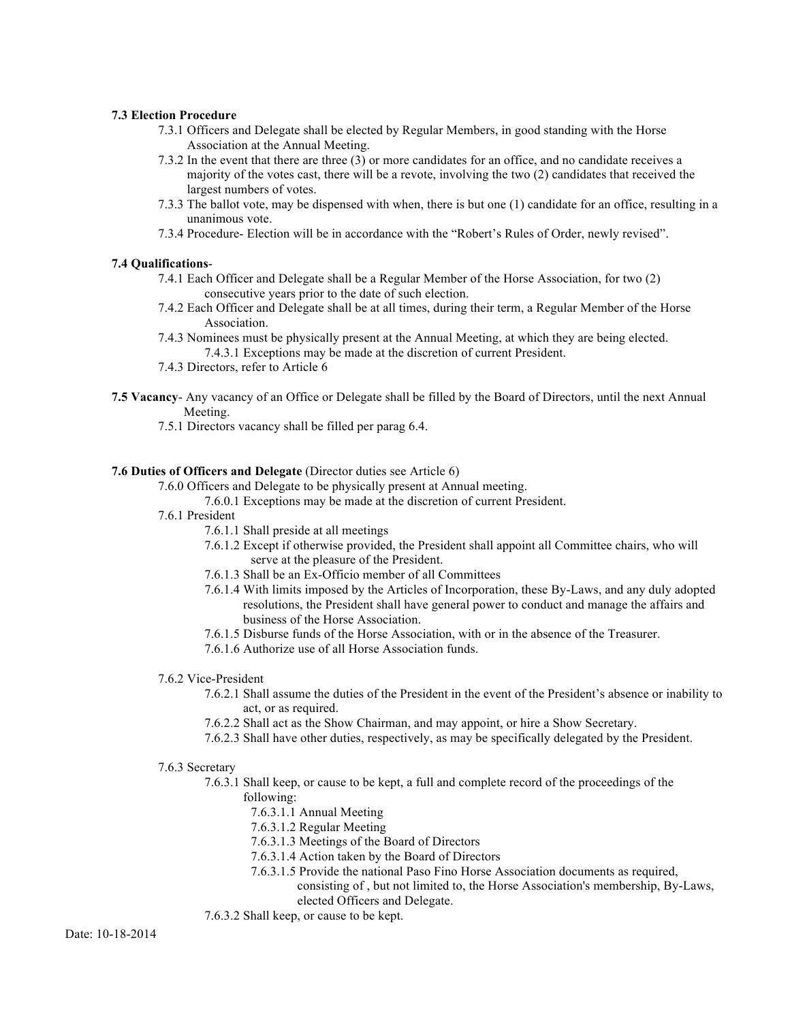#### **7.3 Election Procedure**

- 7.3.1 Officers and Delegate shall be elected by Regular Members, in good standing with the Horse Association at the Annual Meeting.
- 7.3.2 In the event that there are three (3) or more candidates for an office, and no candidate receives a majority of the votes cast, there will be a revote, involving the two (2) candidates that received the largest numbers of votes.
- 7.3.3 The ballot vote, may be dispensed with when, there is but one (1) candidate for an office, resulting in a unanimous vote.
- 7.3.4 Procedure- Election will be in accordance with the "Robert's Rules of Order, newly revised".

#### **7.4 Qualifications**-

- 7.4.1 Each Officer and Delegate shall be a Regular Member of the Horse Association, for two (2) consecutive years prior to the date of such election.
- 7.4.2 Each Officer and Delegate shall be at all times, during their term, a Regular Member of the Horse Association.
- 7.4.3 Nominees must be physically present at the Annual Meeting, at which they are being elected. 7.4.3.1 Exceptions may be made at the discretion of current President.
- 7.4.3 Directors, refer to Article 6
- **7.5 Vacancy** Any vacancy of an Office or Delegate shall be filled by the Board of Directors, until the next Annual Meeting.
	- 7.5.1 Directors vacancy shall be filled per parag 6.4.

## **7.6 Duties of Officers and Delegate** (Director duties see Article 6)

7.6.0 Officers and Delegate to be physically present at Annual meeting.

7.6.0.1 Exceptions may be made at the discretion of current President.

- 7.6.1 President
	- 7.6.1.1 Shall preside at all meetings
	- 7.6.1.2 Except if otherwise provided, the President shall appoint all Committee chairs, who will serve at the pleasure of the President.
	- 7.6.1.3 Shall be an Ex-Officio member of all Committees
	- 7.6.1.4 With limits imposed by the Articles of Incorporation, these By-Laws, and any duly adopted resolutions, the President shall have general power to conduct and manage the affairs and business of the Horse Association.
	- 7.6.1.5 Disburse funds of the Horse Association, with or in the absence of the Treasurer.
	- 7.6.1.6 Authorize use of all Horse Association funds.

#### 7.6.2 Vice-President

- 7.6.2.1 Shall assume the duties of the President in the event of the President's absence or inability to act, or as required.
- 7.6.2.2 Shall act as the Show Chairman, and may appoint, or hire a Show Secretary.
- 7.6.2.3 Shall have other duties, respectively, as may be specifically delegated by the President.
- 7.6.3 Secretary
	- 7.6.3.1 Shall keep, or cause to be kept, a full and complete record of the proceedings of the following:
		- 7.6.3.1.1 Annual Meeting
		- 7.6.3.1.2 Regular Meeting
		- 7.6.3.1.3 Meetings of the Board of Directors
		- 7.6.3.1.4 Action taken by the Board of Directors
		- 7.6.3.1.5 Provide the national Paso Fino Horse Association documents as required,

consisting of , but not limited to, the Horse Association's membership, By-Laws, elected Officers and Delegate.

7.6.3.2 Shall keep, or cause to be kept.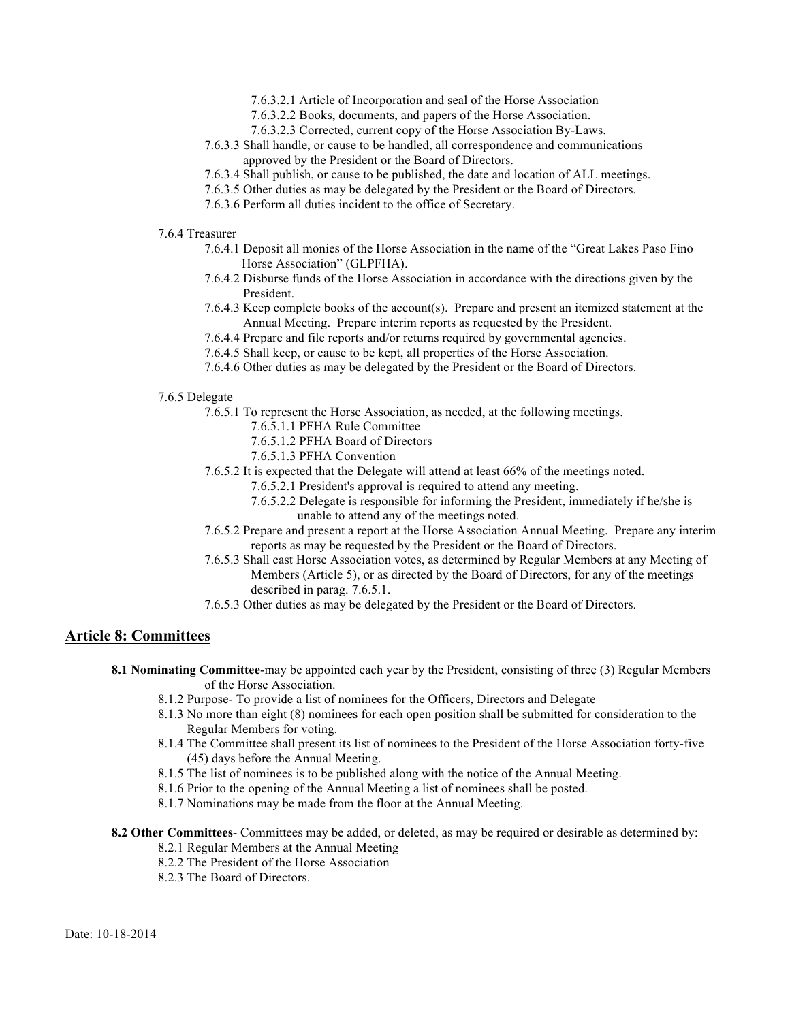- 7.6.3.2.1 Article of Incorporation and seal of the Horse Association
- 7.6.3.2.2 Books, documents, and papers of the Horse Association.
- 7.6.3.2.3 Corrected, current copy of the Horse Association By-Laws.
- 7.6.3.3 Shall handle, or cause to be handled, all correspondence and communications approved by the President or the Board of Directors.
- 7.6.3.4 Shall publish, or cause to be published, the date and location of ALL meetings.
- 7.6.3.5 Other duties as may be delegated by the President or the Board of Directors.
- 7.6.3.6 Perform all duties incident to the office of Secretary.
- 7.6.4 Treasurer
	- 7.6.4.1 Deposit all monies of the Horse Association in the name of the "Great Lakes Paso Fino Horse Association" (GLPFHA).
	- 7.6.4.2 Disburse funds of the Horse Association in accordance with the directions given by the President.
	- 7.6.4.3 Keep complete books of the account(s). Prepare and present an itemized statement at the Annual Meeting. Prepare interim reports as requested by the President.
	- 7.6.4.4 Prepare and file reports and/or returns required by governmental agencies.
	- 7.6.4.5 Shall keep, or cause to be kept, all properties of the Horse Association.
	- 7.6.4.6 Other duties as may be delegated by the President or the Board of Directors.

#### 7.6.5 Delegate

- 7.6.5.1 To represent the Horse Association, as needed, at the following meetings.
	- 7.6.5.1.1 PFHA Rule Committee
	- 7.6.5.1.2 PFHA Board of Directors
	- 7.6.5.1.3 PFHA Convention
- 7.6.5.2 It is expected that the Delegate will attend at least 66% of the meetings noted.
	- 7.6.5.2.1 President's approval is required to attend any meeting.
	- 7.6.5.2.2 Delegate is responsible for informing the President, immediately if he/she is unable to attend any of the meetings noted.
- 7.6.5.2 Prepare and present a report at the Horse Association Annual Meeting. Prepare any interim reports as may be requested by the President or the Board of Directors.
- 7.6.5.3 Shall cast Horse Association votes, as determined by Regular Members at any Meeting of Members (Article 5), or as directed by the Board of Directors, for any of the meetings described in parag. 7.6.5.1.
- 7.6.5.3 Other duties as may be delegated by the President or the Board of Directors.

## **Article 8: Committees**

- **8.1 Nominating Committee**-may be appointed each year by the President, consisting of three (3) Regular Members of the Horse Association.
	- 8.1.2 Purpose- To provide a list of nominees for the Officers, Directors and Delegate
	- 8.1.3 No more than eight (8) nominees for each open position shall be submitted for consideration to the Regular Members for voting.
	- 8.1.4 The Committee shall present its list of nominees to the President of the Horse Association forty-five (45) days before the Annual Meeting.
	- 8.1.5 The list of nominees is to be published along with the notice of the Annual Meeting.
	- 8.1.6 Prior to the opening of the Annual Meeting a list of nominees shall be posted.
	- 8.1.7 Nominations may be made from the floor at the Annual Meeting.
- **8.2 Other Committees** Committees may be added, or deleted, as may be required or desirable as determined by:
	- 8.2.1 Regular Members at the Annual Meeting
	- 8.2.2 The President of the Horse Association
	- 8.2.3 The Board of Directors.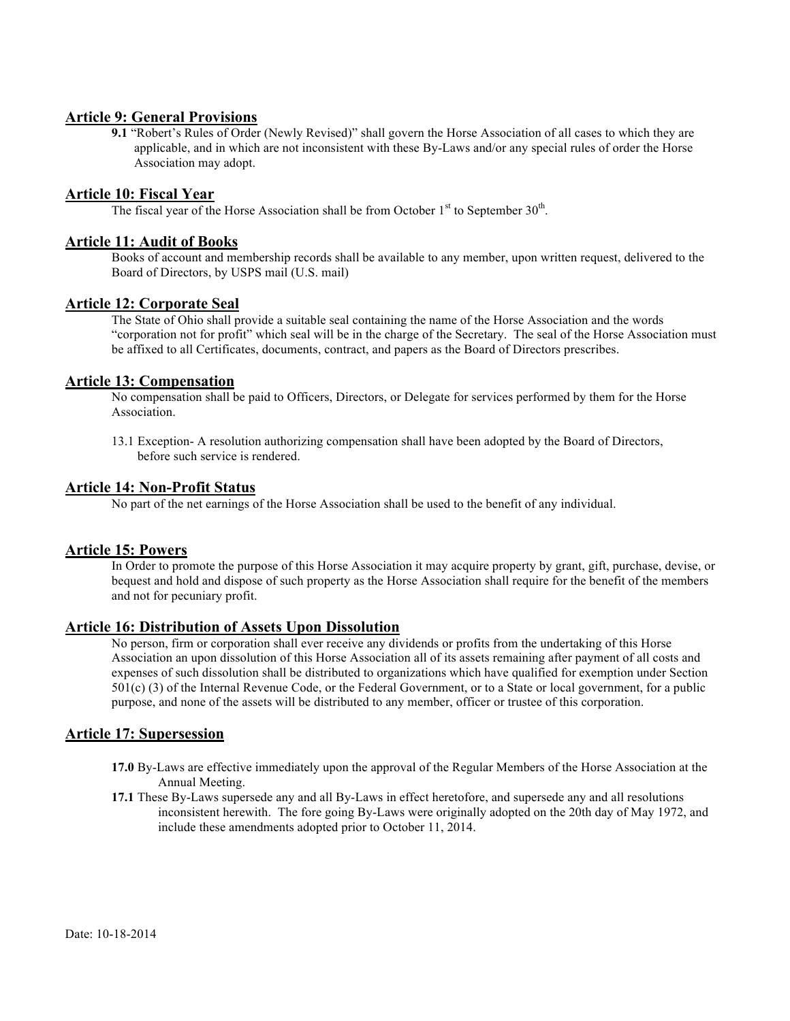## **Article 9: General Provisions**

**9.1** "Robert's Rules of Order (Newly Revised)" shall govern the Horse Association of all cases to which they are applicable, and in which are not inconsistent with these By-Laws and/or any special rules of order the Horse Association may adopt.

## **Article 10: Fiscal Year**

The fiscal year of the Horse Association shall be from October  $1<sup>st</sup>$  to September  $30<sup>th</sup>$ .

## **Article 11: Audit of Books**

Books of account and membership records shall be available to any member, upon written request, delivered to the Board of Directors, by USPS mail (U.S. mail)

## **Article 12: Corporate Seal**

The State of Ohio shall provide a suitable seal containing the name of the Horse Association and the words "corporation not for profit" which seal will be in the charge of the Secretary. The seal of the Horse Association must be affixed to all Certificates, documents, contract, and papers as the Board of Directors prescribes.

## **Article 13: Compensation**

No compensation shall be paid to Officers, Directors, or Delegate for services performed by them for the Horse Association.

13.1 Exception- A resolution authorizing compensation shall have been adopted by the Board of Directors, before such service is rendered.

## **Article 14: Non-Profit Status**

No part of the net earnings of the Horse Association shall be used to the benefit of any individual.

## **Article 15: Powers**

In Order to promote the purpose of this Horse Association it may acquire property by grant, gift, purchase, devise, or bequest and hold and dispose of such property as the Horse Association shall require for the benefit of the members and not for pecuniary profit.

## **Article 16: Distribution of Assets Upon Dissolution**

No person, firm or corporation shall ever receive any dividends or profits from the undertaking of this Horse Association an upon dissolution of this Horse Association all of its assets remaining after payment of all costs and expenses of such dissolution shall be distributed to organizations which have qualified for exemption under Section 501(c) (3) of the Internal Revenue Code, or the Federal Government, or to a State or local government, for a public purpose, and none of the assets will be distributed to any member, officer or trustee of this corporation.

## **Article 17: Supersession**

- **17.0** By-Laws are effective immediately upon the approval of the Regular Members of the Horse Association at the Annual Meeting.
- **17.1** These By-Laws supersede any and all By-Laws in effect heretofore, and supersede any and all resolutions inconsistent herewith. The fore going By-Laws were originally adopted on the 20th day of May 1972, and include these amendments adopted prior to October 11, 2014.